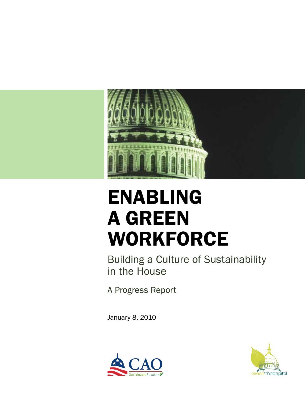

# **ENABLING** a green workforce

Building a Culture of Sustainability in the House

A Progress Report

January 8, 2010



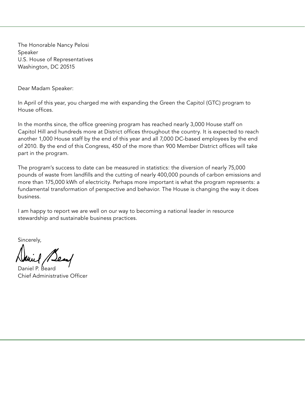The Honorable Nancy Pelosi Speaker U.S. House of Representatives Washington, DC 20515

Dear Madam Speaker:

In April of this year, you charged me with expanding the Green the Capitol (GTC) program to House offices.

In the months since, the office greening program has reached nearly 3,000 House staff on Capitol Hill and hundreds more at District offices throughout the country. It is expected to reach another 1,000 House staff by the end of this year and all 7,000 DC-based employees by the end of 2010. By the end of this Congress, 450 of the more than 900 Member District offices will take part in the program.

The program's success to date can be measured in statistics: the diversion of nearly 75,000 pounds of waste from landfills and the cutting of nearly 400,000 pounds of carbon emissions and more than 175,000 kWh of electricity. Perhaps more important is what the program represents: a fundamental transformation of perspective and behavior. The House is changing the way it does business.

I am happy to report we are well on our way to becoming a national leader in resource stewardship and sustainable business practices.

Sincerely,

Daniel P. Beard Chief Administrative Officer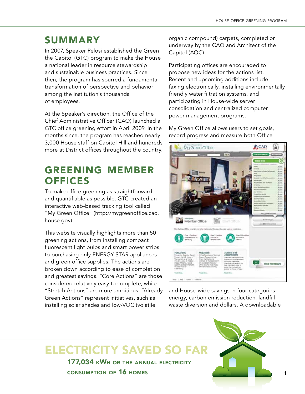#### **SUMMARY**

In 2007, Speaker Pelosi established the Green the Capitol (GTC) program to make the House a national leader in resource stewardship and sustainable business practices. Since then, the program has spurred a fundamental transformation of perspective and behavior among the institution's thousands of employees.

At the Speaker's direction, the Office of the Chief Administrative Officer (CAO) launched a GTC office greening effort in April 2009. In the months since, the program has reached nearly 3,000 House staff on Capitol Hill and hundreds more at District offices throughout the country.

#### greening member **OFFICES**

To make office greening as straightforward and quantifiable as possible, GTC created an interactive web-based tracking tool called "My Green Office" (http://mygreenoffice.cao. house.gov).

This website visually highlights more than 50 greening actions, from installing compact fluorescent light bulbs and smart power strips to purchasing only ENERGY STAR appliances and green office supplies. The actions are broken down according to ease of completion and greatest savings. "Core Actions" are those considered relatively easy to complete, while "Stretch Actions" are more ambitious. "Already Green Actions" represent initiatives, such as installing solar shades and low-VOC (volatile

organic compound) carpets, completed or underway by the CAO and Architect of the Capitol (AOC).

Participating offices are encouraged to propose new ideas for the actions list. Recent and upcoming additions include: faxing electronically, installing environmentally friendly water filtration systems, and participating in House-wide server consolidation and centralized computer power management programs.

My Green Office allows users to set goals, record progress and measure both Office



and House-wide savings in four categories: energy, carbon emission reduction, landfill waste diversion and dollars. A downloadable

### 177,034 kWh or the annual electricity Electricity saved so far

consumption of 16 homes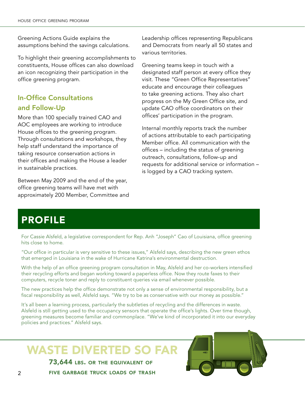Greening Actions Guide explains the assumptions behind the savings calculations.

To highlight their greening accomplishments to constituents, House offices can also download an icon recognizing their participation in the office greening program.

#### In-Office Consultations and Follow-Up

More than 100 specially trained CAO and AOC employees are working to introduce House offices to the greening program. Through consultations and workshops, they help staff understand the importance of taking resource conservation actions in their offices and making the House a leader in sustainable practices.

Between May 2009 and the end of the year, office greening teams will have met with approximately 200 Member, Committee and Leadership offices representing Republicans and Democrats from nearly all 50 states and various territories.

Greening teams keep in touch with a designated staff person at every office they visit. These "Green Office Representatives" educate and encourage their colleagues to take greening actions. They also chart progress on the My Green Office site, and update CAO office coordinators on their offices' participation in the program.

Internal monthly reports track the number of actions attributable to each participating Member office. All communication with the offices – including the status of greening outreach, consultations, follow-up and requests for additional service or information – is logged by a CAO tracking system.

### **PROFILE**

For Cassie Alsfeld, a legislative correspondent for Rep. Anh "Joseph" Cao of Louisiana, office greening hits close to home.

"Our office in particular is very sensitive to these issues," Alsfeld says, describing the new green ethos that emerged in Louisiana in the wake of Hurricane Katrina's environmental destruction.

With the help of an office greening program consultation in May, Alsfeld and her co-workers intensified their recycling efforts and began working toward a paperless office. Now they route faxes to their computers, recycle toner and reply to constituent queries via email whenever possible.

The new practices help the office demonstrate not only a sense of environmental responsibility, but a fiscal responsibility as well, Alsfeld says. "We try to be as conservative with our money as possible."

It's all been a learning process, particularly the subtleties of recycling and the differences in waste. Alsfeld is still getting used to the occupancy sensors that operate the office's lights. Over time though, greening measures become familiar and commonplace. "We've kind of incorporated it into our everyday policies and practices." Alsfeld says.

# WASTE DIVERTED SO FAR

73,644 LBS. OR THE EQUIVALENT OF five garbage truck loads of trash

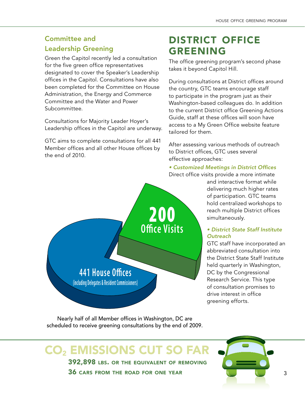#### Committee and Leadership Greening

Green the Capitol recently led a consultation for the five green office representatives designated to cover the Speaker's Leadership offices in the Capitol. Consultations have also been completed for the Committee on House Administration, the Energy and Commerce Committee and the Water and Power Subcommittee.

Consultations for Majority Leader Hoyer's Leadership offices in the Capitol are underway.

GTC aims to complete consultations for all 441 Member offices and all other House offices by the end of 2010.

### district office **GREENING**

The office greening program's second phase takes it beyond Capitol Hill.

During consultations at District offices around the country, GTC teams encourage staff to participate in the program just as their Washington-based colleagues do. In addition to the current District office Greening Actions Guide, staff at these offices will soon have access to a My Green Office website feature tailored for them.

After assessing various methods of outreach to District offices, GTC uses several effective approaches:

#### • Customized Meetings in District Offices Direct office visits provide a more intimate

and interactive format while delivering much higher rates of participation. GTC teams hold centralized workshops to reach multiple District offices simultaneously.

#### • District State Staff Institute **Outreach**

GTC staff have incorporated an abbreviated consultation into the District State Staff Institute held quarterly in Washington, DC by the Congressional Research Service. This type of consultation promises to drive interest in office greening efforts.

Nearly half of all Member offices in Washington, DC are scheduled to receive greening consultations by the end of 2009.

### 392,898 lbs. or the equivalent of removing CO2 emissions cut so far

36 cars from the road for one year

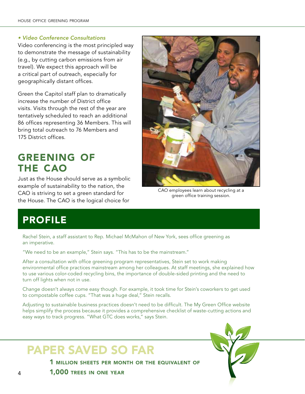#### • Video Conference Consultations

Video conferencing is the most principled way to demonstrate the message of sustainability (e.g., by cutting carbon emissions from air travel). We expect this approach will be a critical part of outreach, especially for geographically distant offices.

Green the Capitol staff plan to dramatically increase the number of District office visits. Visits through the rest of the year are tentatively scheduled to reach an additional 86 offices representing 36 Members. This will bring total outreach to 76 Members and 175 District offices.

#### greening of the cao

Just as the House should serve as a symbolic example of sustainability to the nation, the CAO is striving to set a green standard for the House. The CAO is the logical choice for



CAO employees learn about recycling at a green office training session.

### **PROFILE**

Rachel Stein, a staff assistant to Rep. Michael McMahon of New York, sees office greening as an imperative.

"We need to be an example," Stein says. "This has to be the mainstream."

After a consultation with office greening program representatives, Stein set to work making environmental office practices mainstream among her colleagues. At staff meetings, she explained how to use various color-coded recycling bins, the importance of double-sided printing and the need to turn off lights when not in use.

Change doesn't always come easy though. For example, it took time for Stein's coworkers to get used to compostable coffee cups. "That was a huge deal," Stein recalls.

Adjusting to sustainable business practices doesn't need to be difficult. The My Green Office website helps simplify the process because it provides a comprehensive checklist of waste-cutting actions and easy ways to track progress. "What GTC does works," says Stein.

# Paper saved so far

1 million sheets per month or the equivalent of

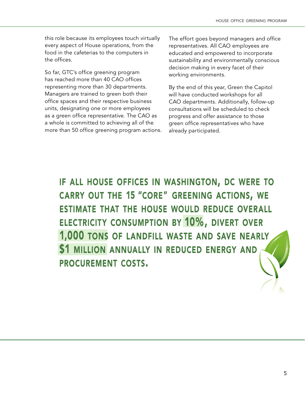this role because its employees touch virtually every aspect of House operations, from the food in the cafeterias to the computers in the offices.

So far, GTC's office greening program has reached more than 40 CAO offices representing more than 30 departments. Managers are trained to green both their office spaces and their respective business units, designating one or more employees as a green office representative. The CAO as a whole is committed to achieving all of the more than 50 office greening program actions. The effort goes beyond managers and office representatives. All CAO employees are educated and empowered to incorporate sustainability and environmentally conscious decision making in every facet of their working environments.

By the end of this year, Green the Capitol will have conducted workshops for all CAO departments. Additionally, follow-up consultations will be scheduled to check progress and offer assistance to those green office representatives who have already participated.

IF ALL HOUSE OFFICES IN WASHINGTON, DC WERE TO CARRY OUT THE 15 "CORE" GREENING ACTIONS, WE **ESTIMATE THAT THE HOUSE WOULD REDUCE OVERALL ELECTRICITY CONSUMPTION BY 10%, DIVERT OVER** 1,000 TONS OF LANDFILL WASTE AND SAVE NEARLY \$1 MILLION ANNUALLY IN REDUCED ENERGY AND **PROCUREMENT COSTS.**